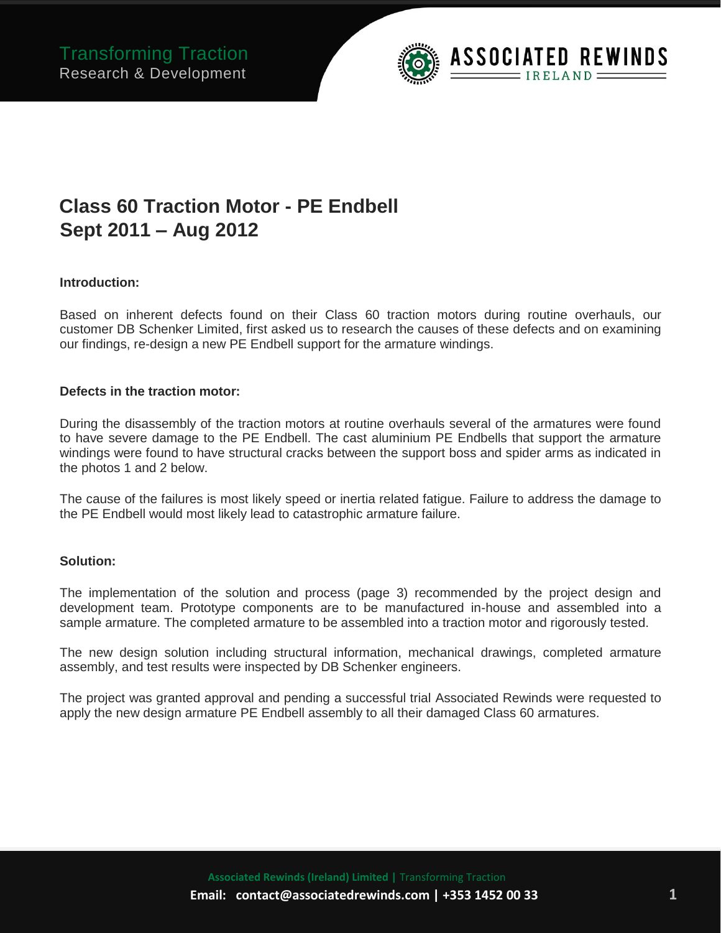

# **Class 60 Traction Motor - PE Endbell Sept 2011 – Aug 2012**

#### **Introduction:**

Based on inherent defects found on their Class 60 traction motors during routine overhauls, our customer DB Schenker Limited, first asked us to research the causes of these defects and on examining our findings, re-design a new PE Endbell support for the armature windings.

#### **Defects in the traction motor:**

During the disassembly of the traction motors at routine overhauls several of the armatures were found to have severe damage to the PE Endbell. The cast aluminium PE Endbells that support the armature windings were found to have structural cracks between the support boss and spider arms as indicated in the photos 1 and 2 below.

The cause of the failures is most likely speed or inertia related fatigue. Failure to address the damage to the PE Endbell would most likely lead to catastrophic armature failure.

## **Solution:**

The implementation of the solution and process (page 3) recommended by the project design and development team. Prototype components are to be manufactured in-house and assembled into a sample armature. The completed armature to be assembled into a traction motor and rigorously tested.

The new design solution including structural information, mechanical drawings, completed armature assembly, and test results were inspected by DB Schenker engineers.

The project was granted approval and pending a successful trial Associated Rewinds were requested to apply the new design armature PE Endbell assembly to all their damaged Class 60 armatures.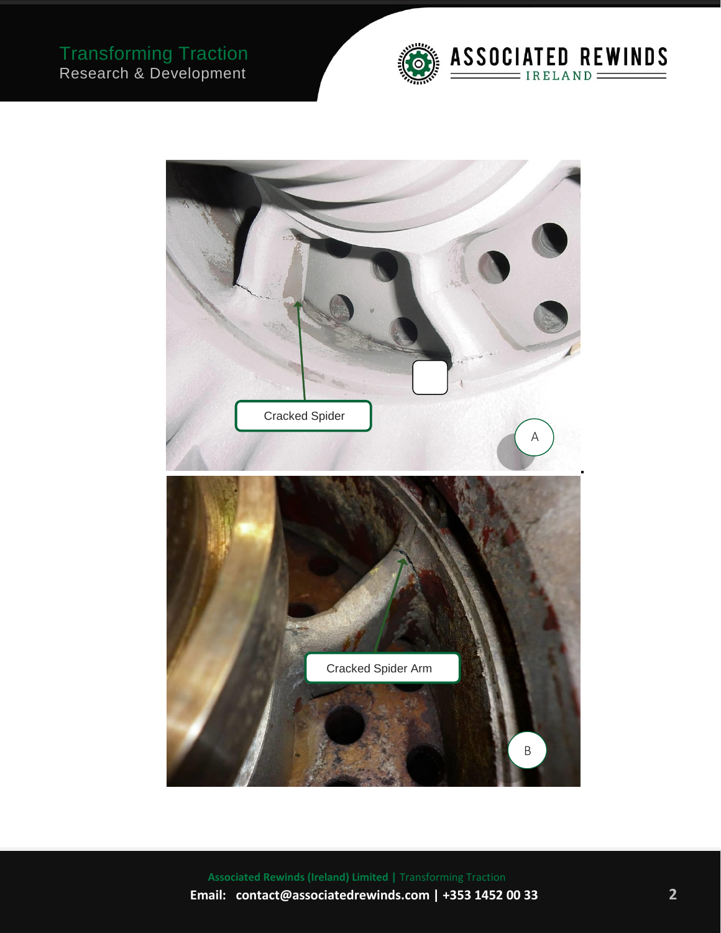



 **Associated Rewinds (Ireland) Limited |** Transforming Traction  **Email: contact@associatedrewinds.com | +353 1452 00 33 2**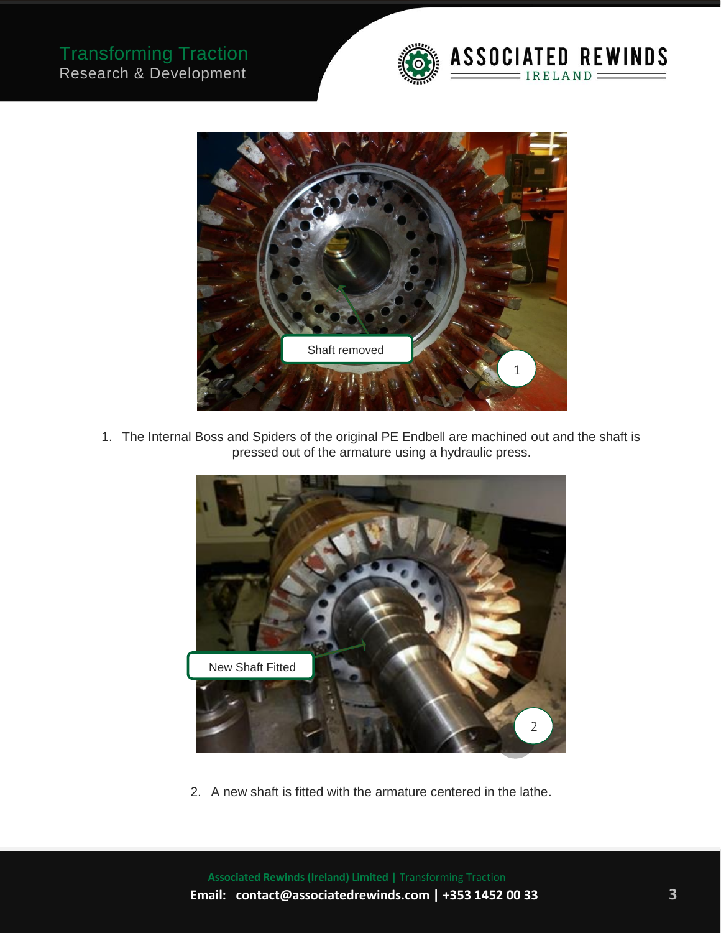



1. The Internal Boss and Spiders of the original PE Endbell are machined out and the shaft is pressed out of the armature using a hydraulic press.



2. A new shaft is fitted with the armature centered in the lathe.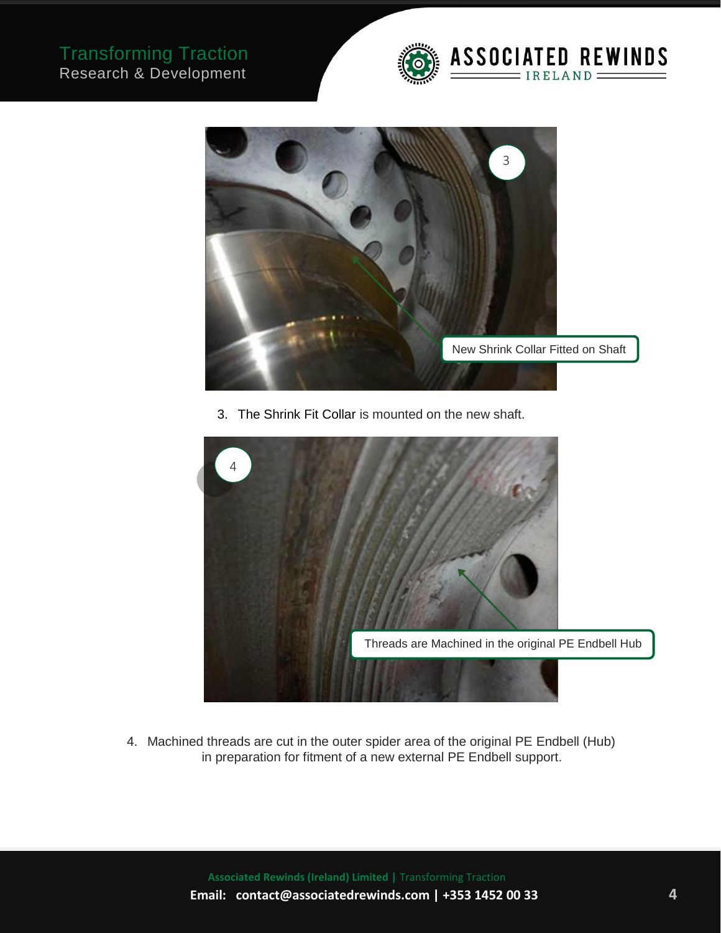



3. The Shrink Fit Collar is mounted on the new shaft.



4. Machined threads are cut in the outer spider area of the original PE Endbell (Hub) in preparation for fitment of a new external PE Endbell support.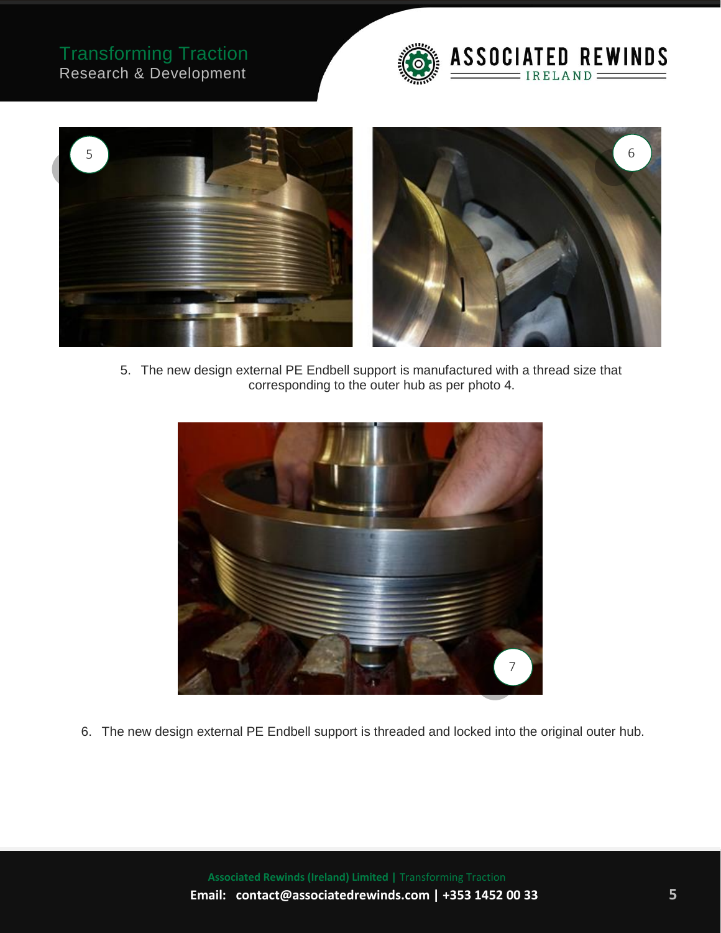# Transforming Traction Research & Development





5. The new design external PE Endbell support is manufactured with a thread size that corresponding to the outer hub as per photo 4.



6. The new design external PE Endbell support is threaded and locked into the original outer hub.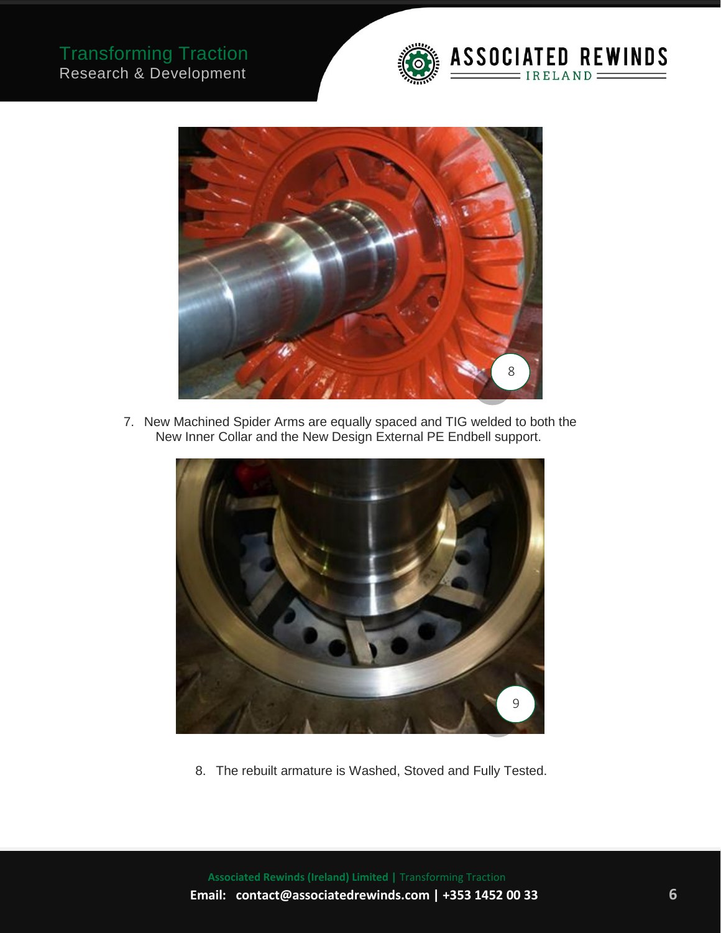



7. New Machined Spider Arms are equally spaced and TIG welded to both the New Inner Collar and the New Design External PE Endbell support.



8. The rebuilt armature is Washed, Stoved and Fully Tested.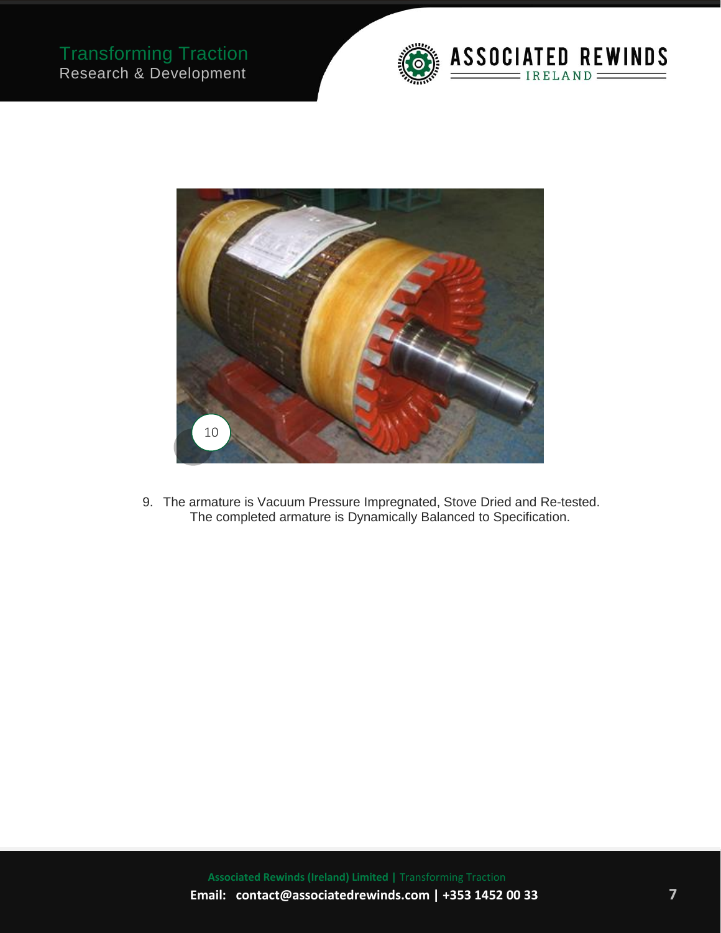



9. The armature is Vacuum Pressure Impregnated, Stove Dried and Re-tested. The completed armature is Dynamically Balanced to Specification.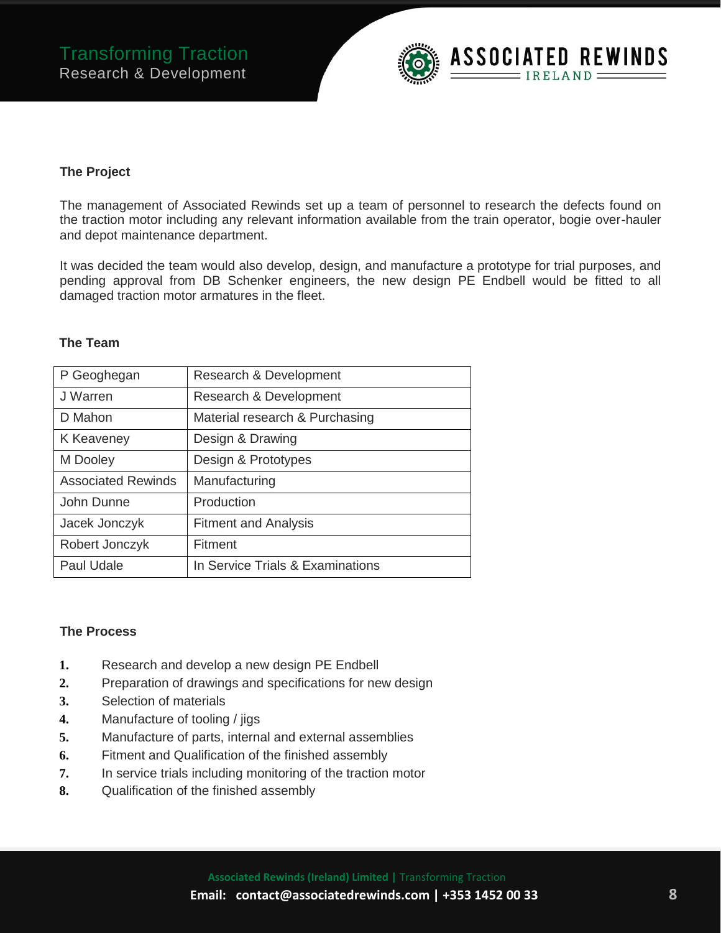

# **The Project**

The management of Associated Rewinds set up a team of personnel to research the defects found on the traction motor including any relevant information available from the train operator, bogie over-hauler and depot maintenance department.

It was decided the team would also develop, design, and manufacture a prototype for trial purposes, and pending approval from DB Schenker engineers, the new design PE Endbell would be fitted to all damaged traction motor armatures in the fleet.

#### **The Team**

| P Geoghegan               | Research & Development           |
|---------------------------|----------------------------------|
| J Warren                  | Research & Development           |
| D Mahon                   | Material research & Purchasing   |
| K Keaveney                | Design & Drawing                 |
| M Dooley                  | Design & Prototypes              |
| <b>Associated Rewinds</b> | Manufacturing                    |
| John Dunne                | Production                       |
| Jacek Jonczyk             | <b>Fitment and Analysis</b>      |
| Robert Jonczyk            | Fitment                          |
| Paul Udale                | In Service Trials & Examinations |

#### **The Process**

- **1.** Research and develop a new design PE Endbell
- **2.** Preparation of drawings and specifications for new design
- **3.** Selection of materials
- **4.** Manufacture of tooling / jigs
- **5.** Manufacture of parts, internal and external assemblies
- **6.** Fitment and Qualification of the finished assembly
- **7.** In service trials including monitoring of the traction motor
- **8.** Qualification of the finished assembly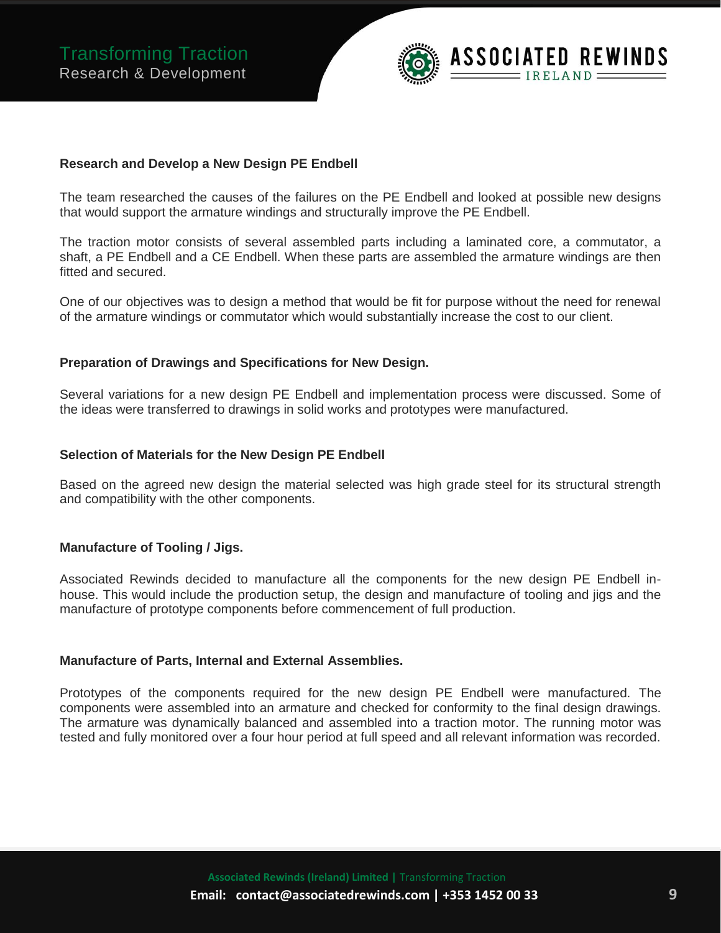

#### **Research and Develop a New Design PE Endbell**

The team researched the causes of the failures on the PE Endbell and looked at possible new designs that would support the armature windings and structurally improve the PE Endbell.

The traction motor consists of several assembled parts including a laminated core, a commutator, a shaft, a PE Endbell and a CE Endbell. When these parts are assembled the armature windings are then fitted and secured.

One of our objectives was to design a method that would be fit for purpose without the need for renewal of the armature windings or commutator which would substantially increase the cost to our client.

#### **Preparation of Drawings and Specifications for New Design.**

Several variations for a new design PE Endbell and implementation process were discussed. Some of the ideas were transferred to drawings in solid works and prototypes were manufactured.

#### **Selection of Materials for the New Design PE Endbell**

Based on the agreed new design the material selected was high grade steel for its structural strength and compatibility with the other components.

#### **Manufacture of Tooling / Jigs.**

Associated Rewinds decided to manufacture all the components for the new design PE Endbell inhouse. This would include the production setup, the design and manufacture of tooling and jigs and the manufacture of prototype components before commencement of full production.

#### **Manufacture of Parts, Internal and External Assemblies.**

Prototypes of the components required for the new design PE Endbell were manufactured. The components were assembled into an armature and checked for conformity to the final design drawings. The armature was dynamically balanced and assembled into a traction motor. The running motor was tested and fully monitored over a four hour period at full speed and all relevant information was recorded.